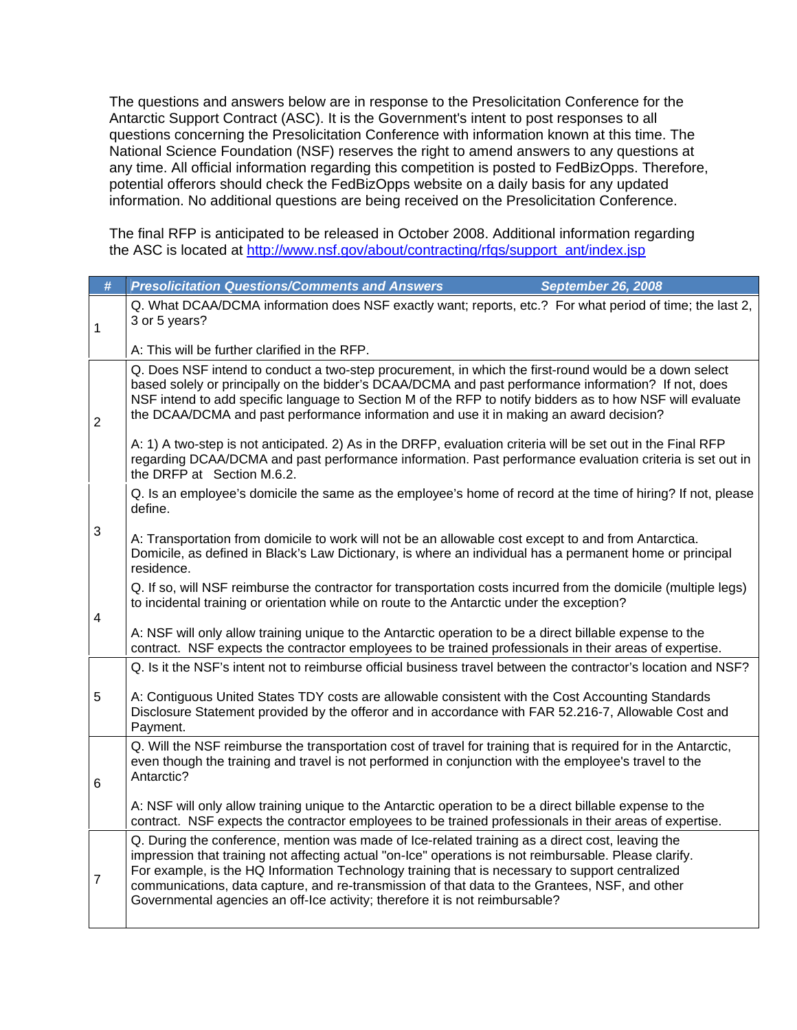The questions and answers below are in response to the Presolicitation Conference for the Antarctic Support Contract (ASC). It is the Government's intent to post responses to all questions concerning the Presolicitation Conference with information known at this time. The National Science Foundation (NSF) reserves the right to amend answers to any questions at any time. All official information regarding this competition is posted to FedBizOpps. Therefore, potential offerors should check the FedBizOpps website on a daily basis for any updated information. No additional questions are being received on the Presolicitation Conference.

The final RFP is anticipated to be released in October 2008. Additional information regarding the ASC is located at http://www.nsf.gov/about/contracting/rfgs/support\_ant/index.jsp

| #              | <b>Presolicitation Questions/Comments and Answers</b><br><b>September 26, 2008</b>                                                                                                                                                                                                                                                                                                                                                                                                              |
|----------------|-------------------------------------------------------------------------------------------------------------------------------------------------------------------------------------------------------------------------------------------------------------------------------------------------------------------------------------------------------------------------------------------------------------------------------------------------------------------------------------------------|
| 1              | Q. What DCAA/DCMA information does NSF exactly want; reports, etc.? For what period of time; the last 2,<br>3 or 5 years?                                                                                                                                                                                                                                                                                                                                                                       |
|                | A: This will be further clarified in the RFP.                                                                                                                                                                                                                                                                                                                                                                                                                                                   |
| $\overline{2}$ | Q. Does NSF intend to conduct a two-step procurement, in which the first-round would be a down select<br>based solely or principally on the bidder's DCAA/DCMA and past performance information? If not, does<br>NSF intend to add specific language to Section M of the RFP to notify bidders as to how NSF will evaluate<br>the DCAA/DCMA and past performance information and use it in making an award decision?                                                                            |
|                | A: 1) A two-step is not anticipated. 2) As in the DRFP, evaluation criteria will be set out in the Final RFP<br>regarding DCAA/DCMA and past performance information. Past performance evaluation criteria is set out in<br>the DRFP at Section M.6.2.                                                                                                                                                                                                                                          |
|                | Q. Is an employee's domicile the same as the employee's home of record at the time of hiring? If not, please<br>define.                                                                                                                                                                                                                                                                                                                                                                         |
| $\sqrt{3}$     | A: Transportation from domicile to work will not be an allowable cost except to and from Antarctica.<br>Domicile, as defined in Black's Law Dictionary, is where an individual has a permanent home or principal<br>residence.                                                                                                                                                                                                                                                                  |
| 4              | Q. If so, will NSF reimburse the contractor for transportation costs incurred from the domicile (multiple legs)<br>to incidental training or orientation while on route to the Antarctic under the exception?                                                                                                                                                                                                                                                                                   |
|                | A: NSF will only allow training unique to the Antarctic operation to be a direct billable expense to the<br>contract. NSF expects the contractor employees to be trained professionals in their areas of expertise.                                                                                                                                                                                                                                                                             |
|                | Q. Is it the NSF's intent not to reimburse official business travel between the contractor's location and NSF?                                                                                                                                                                                                                                                                                                                                                                                  |
| 5              | A: Contiguous United States TDY costs are allowable consistent with the Cost Accounting Standards<br>Disclosure Statement provided by the offeror and in accordance with FAR 52.216-7, Allowable Cost and<br>Payment.                                                                                                                                                                                                                                                                           |
| 6              | Q. Will the NSF reimburse the transportation cost of travel for training that is required for in the Antarctic,<br>even though the training and travel is not performed in conjunction with the employee's travel to the<br>Antarctic?                                                                                                                                                                                                                                                          |
|                | A: NSF will only allow training unique to the Antarctic operation to be a direct billable expense to the<br>contract. NSF expects the contractor employees to be trained professionals in their areas of expertise.                                                                                                                                                                                                                                                                             |
| $\overline{7}$ | Q. During the conference, mention was made of Ice-related training as a direct cost, leaving the<br>impression that training not affecting actual "on-Ice" operations is not reimbursable. Please clarify.<br>For example, is the HQ Information Technology training that is necessary to support centralized<br>communications, data capture, and re-transmission of that data to the Grantees, NSF, and other<br>Governmental agencies an off-Ice activity; therefore it is not reimbursable? |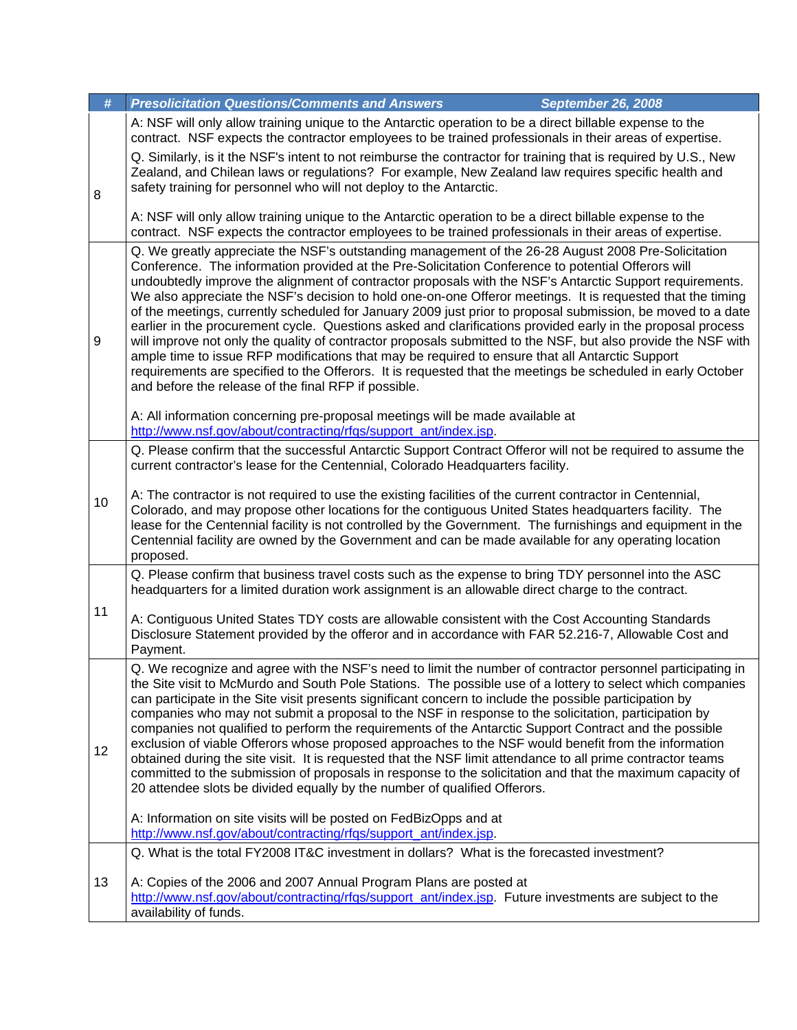| #  | <b>Presolicitation Questions/Comments and Answers</b>                                                                                                                                                                                                                                                                                                                                                                                                                                                                                                                                                                                                                                                                                                                                                                                                                                                                                                                                                                                                        | <b>September 26, 2008</b> |
|----|--------------------------------------------------------------------------------------------------------------------------------------------------------------------------------------------------------------------------------------------------------------------------------------------------------------------------------------------------------------------------------------------------------------------------------------------------------------------------------------------------------------------------------------------------------------------------------------------------------------------------------------------------------------------------------------------------------------------------------------------------------------------------------------------------------------------------------------------------------------------------------------------------------------------------------------------------------------------------------------------------------------------------------------------------------------|---------------------------|
|    | A: NSF will only allow training unique to the Antarctic operation to be a direct billable expense to the<br>contract. NSF expects the contractor employees to be trained professionals in their areas of expertise.                                                                                                                                                                                                                                                                                                                                                                                                                                                                                                                                                                                                                                                                                                                                                                                                                                          |                           |
| 8  | Q. Similarly, is it the NSF's intent to not reimburse the contractor for training that is required by U.S., New<br>Zealand, and Chilean laws or regulations? For example, New Zealand law reguires specific health and<br>safety training for personnel who will not deploy to the Antarctic.                                                                                                                                                                                                                                                                                                                                                                                                                                                                                                                                                                                                                                                                                                                                                                |                           |
|    | A: NSF will only allow training unique to the Antarctic operation to be a direct billable expense to the<br>contract. NSF expects the contractor employees to be trained professionals in their areas of expertise.                                                                                                                                                                                                                                                                                                                                                                                                                                                                                                                                                                                                                                                                                                                                                                                                                                          |                           |
| 9  | Q. We greatly appreciate the NSF's outstanding management of the 26-28 August 2008 Pre-Solicitation<br>Conference. The information provided at the Pre-Solicitation Conference to potential Offerors will<br>undoubtedly improve the alignment of contractor proposals with the NSF's Antarctic Support requirements.<br>We also appreciate the NSF's decision to hold one-on-one Offeror meetings. It is requested that the timing<br>of the meetings, currently scheduled for January 2009 just prior to proposal submission, be moved to a date<br>earlier in the procurement cycle. Questions asked and clarifications provided early in the proposal process<br>will improve not only the quality of contractor proposals submitted to the NSF, but also provide the NSF with<br>ample time to issue RFP modifications that may be required to ensure that all Antarctic Support<br>requirements are specified to the Offerors. It is requested that the meetings be scheduled in early October<br>and before the release of the final RFP if possible. |                           |
|    | A: All information concerning pre-proposal meetings will be made available at<br>http://www.nsf.gov/about/contracting/rfqs/support_ant/index.jsp.                                                                                                                                                                                                                                                                                                                                                                                                                                                                                                                                                                                                                                                                                                                                                                                                                                                                                                            |                           |
| 10 | Q. Please confirm that the successful Antarctic Support Contract Offeror will not be required to assume the<br>current contractor's lease for the Centennial, Colorado Headquarters facility.<br>A: The contractor is not required to use the existing facilities of the current contractor in Centennial,<br>Colorado, and may propose other locations for the contiguous United States headquarters facility. The<br>lease for the Centennial facility is not controlled by the Government. The furnishings and equipment in the<br>Centennial facility are owned by the Government and can be made available for any operating location<br>proposed.                                                                                                                                                                                                                                                                                                                                                                                                      |                           |
|    | Q. Please confirm that business travel costs such as the expense to bring TDY personnel into the ASC<br>headquarters for a limited duration work assignment is an allowable direct charge to the contract.                                                                                                                                                                                                                                                                                                                                                                                                                                                                                                                                                                                                                                                                                                                                                                                                                                                   |                           |
| 11 | A: Contiguous United States TDY costs are allowable consistent with the Cost Accounting Standards<br>Disclosure Statement provided by the offeror and in accordance with FAR 52.216-7, Allowable Cost and<br>Payment.                                                                                                                                                                                                                                                                                                                                                                                                                                                                                                                                                                                                                                                                                                                                                                                                                                        |                           |
| 12 | Q. We recognize and agree with the NSF's need to limit the number of contractor personnel participating in<br>the Site visit to McMurdo and South Pole Stations. The possible use of a lottery to select which companies<br>can participate in the Site visit presents significant concern to include the possible participation by<br>companies who may not submit a proposal to the NSF in response to the solicitation, participation by<br>companies not qualified to perform the requirements of the Antarctic Support Contract and the possible<br>exclusion of viable Offerors whose proposed approaches to the NSF would benefit from the information<br>obtained during the site visit. It is requested that the NSF limit attendance to all prime contractor teams<br>committed to the submission of proposals in response to the solicitation and that the maximum capacity of<br>20 attendee slots be divided equally by the number of qualified Offerors.<br>A: Information on site visits will be posted on FedBizOpps and at                  |                           |
|    | http://www.nsf.gov/about/contracting/rfgs/support_ant/index.jsp.                                                                                                                                                                                                                                                                                                                                                                                                                                                                                                                                                                                                                                                                                                                                                                                                                                                                                                                                                                                             |                           |
|    | Q. What is the total FY2008 IT&C investment in dollars? What is the forecasted investment?                                                                                                                                                                                                                                                                                                                                                                                                                                                                                                                                                                                                                                                                                                                                                                                                                                                                                                                                                                   |                           |
| 13 | A: Copies of the 2006 and 2007 Annual Program Plans are posted at<br>http://www.nsf.gov/about/contracting/rfgs/support_ant/index.jsp. Future investments are subject to the<br>availability of funds.                                                                                                                                                                                                                                                                                                                                                                                                                                                                                                                                                                                                                                                                                                                                                                                                                                                        |                           |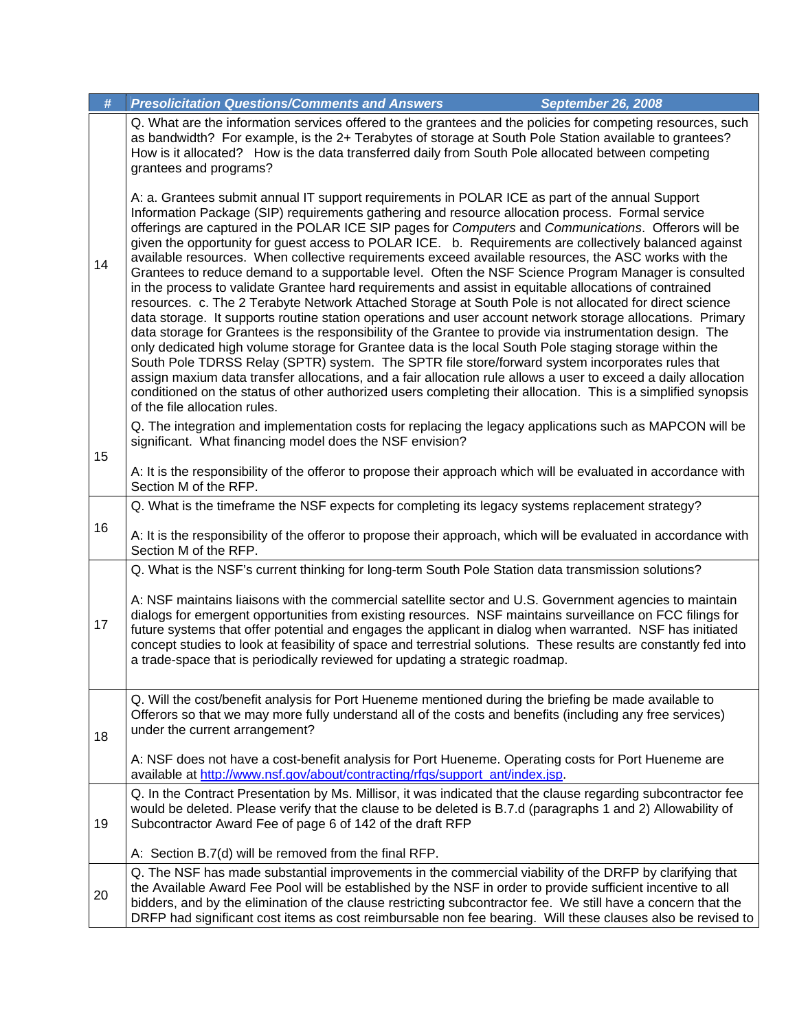| #  | <b>Presolicitation Questions/Comments and Answers</b>                                                                                                                                                                                                                                                                                                                                                                                                                                                                                                                                                                                                                                                                                                                                                                                                                                                                                                                                                                                                                                                                                                                                                                                                                                                                                                                                                                                                                                                                                                                    | <b>September 26, 2008</b> |  |
|----|--------------------------------------------------------------------------------------------------------------------------------------------------------------------------------------------------------------------------------------------------------------------------------------------------------------------------------------------------------------------------------------------------------------------------------------------------------------------------------------------------------------------------------------------------------------------------------------------------------------------------------------------------------------------------------------------------------------------------------------------------------------------------------------------------------------------------------------------------------------------------------------------------------------------------------------------------------------------------------------------------------------------------------------------------------------------------------------------------------------------------------------------------------------------------------------------------------------------------------------------------------------------------------------------------------------------------------------------------------------------------------------------------------------------------------------------------------------------------------------------------------------------------------------------------------------------------|---------------------------|--|
|    | Q. What are the information services offered to the grantees and the policies for competing resources, such<br>as bandwidth? For example, is the 2+ Terabytes of storage at South Pole Station available to grantees?<br>How is it allocated? How is the data transferred daily from South Pole allocated between competing<br>grantees and programs?                                                                                                                                                                                                                                                                                                                                                                                                                                                                                                                                                                                                                                                                                                                                                                                                                                                                                                                                                                                                                                                                                                                                                                                                                    |                           |  |
| 14 | A: a. Grantees submit annual IT support requirements in POLAR ICE as part of the annual Support<br>Information Package (SIP) requirements gathering and resource allocation process. Formal service<br>offerings are captured in the POLAR ICE SIP pages for Computers and Communications. Offerors will be<br>given the opportunity for guest access to POLAR ICE. b. Requirements are collectively balanced against<br>available resources. When collective requirements exceed available resources, the ASC works with the<br>Grantees to reduce demand to a supportable level. Often the NSF Science Program Manager is consulted<br>in the process to validate Grantee hard requirements and assist in equitable allocations of contrained<br>resources. c. The 2 Terabyte Network Attached Storage at South Pole is not allocated for direct science<br>data storage. It supports routine station operations and user account network storage allocations. Primary<br>data storage for Grantees is the responsibility of the Grantee to provide via instrumentation design. The<br>only dedicated high volume storage for Grantee data is the local South Pole staging storage within the<br>South Pole TDRSS Relay (SPTR) system. The SPTR file store/forward system incorporates rules that<br>assign maxium data transfer allocations, and a fair allocation rule allows a user to exceed a daily allocation<br>conditioned on the status of other authorized users completing their allocation. This is a simplified synopsis<br>of the file allocation rules. |                           |  |
| 15 | Q. The integration and implementation costs for replacing the legacy applications such as MAPCON will be<br>significant. What financing model does the NSF envision?                                                                                                                                                                                                                                                                                                                                                                                                                                                                                                                                                                                                                                                                                                                                                                                                                                                                                                                                                                                                                                                                                                                                                                                                                                                                                                                                                                                                     |                           |  |
|    | A: It is the responsibility of the offeror to propose their approach which will be evaluated in accordance with<br>Section M of the RFP.                                                                                                                                                                                                                                                                                                                                                                                                                                                                                                                                                                                                                                                                                                                                                                                                                                                                                                                                                                                                                                                                                                                                                                                                                                                                                                                                                                                                                                 |                           |  |
|    | Q. What is the timeframe the NSF expects for completing its legacy systems replacement strategy?                                                                                                                                                                                                                                                                                                                                                                                                                                                                                                                                                                                                                                                                                                                                                                                                                                                                                                                                                                                                                                                                                                                                                                                                                                                                                                                                                                                                                                                                         |                           |  |
| 16 | A: It is the responsibility of the offeror to propose their approach, which will be evaluated in accordance with<br>Section M of the RFP.                                                                                                                                                                                                                                                                                                                                                                                                                                                                                                                                                                                                                                                                                                                                                                                                                                                                                                                                                                                                                                                                                                                                                                                                                                                                                                                                                                                                                                |                           |  |
|    | Q. What is the NSF's current thinking for long-term South Pole Station data transmission solutions?                                                                                                                                                                                                                                                                                                                                                                                                                                                                                                                                                                                                                                                                                                                                                                                                                                                                                                                                                                                                                                                                                                                                                                                                                                                                                                                                                                                                                                                                      |                           |  |
| 17 | A: NSF maintains liaisons with the commercial satellite sector and U.S. Government agencies to maintain<br>dialogs for emergent opportunities from existing resources. NSF maintains surveillance on FCC filings for<br>future systems that offer potential and engages the applicant in dialog when warranted. NSF has initiated<br>concept studies to look at feasibility of space and terrestrial solutions. These results are constantly fed into<br>a trade-space that is periodically reviewed for updating a strategic roadmap.                                                                                                                                                                                                                                                                                                                                                                                                                                                                                                                                                                                                                                                                                                                                                                                                                                                                                                                                                                                                                                   |                           |  |
| 18 | Q. Will the cost/benefit analysis for Port Hueneme mentioned during the briefing be made available to<br>Offerors so that we may more fully understand all of the costs and benefits (including any free services)<br>under the current arrangement?                                                                                                                                                                                                                                                                                                                                                                                                                                                                                                                                                                                                                                                                                                                                                                                                                                                                                                                                                                                                                                                                                                                                                                                                                                                                                                                     |                           |  |
|    | A: NSF does not have a cost-benefit analysis for Port Hueneme. Operating costs for Port Hueneme are<br>available at http://www.nsf.gov/about/contracting/rfqs/support_ant/index.jsp.                                                                                                                                                                                                                                                                                                                                                                                                                                                                                                                                                                                                                                                                                                                                                                                                                                                                                                                                                                                                                                                                                                                                                                                                                                                                                                                                                                                     |                           |  |
| 19 | Q. In the Contract Presentation by Ms. Millisor, it was indicated that the clause regarding subcontractor fee<br>would be deleted. Please verify that the clause to be deleted is B.7.d (paragraphs 1 and 2) Allowability of<br>Subcontractor Award Fee of page 6 of 142 of the draft RFP                                                                                                                                                                                                                                                                                                                                                                                                                                                                                                                                                                                                                                                                                                                                                                                                                                                                                                                                                                                                                                                                                                                                                                                                                                                                                |                           |  |
|    | A: Section B.7(d) will be removed from the final RFP.                                                                                                                                                                                                                                                                                                                                                                                                                                                                                                                                                                                                                                                                                                                                                                                                                                                                                                                                                                                                                                                                                                                                                                                                                                                                                                                                                                                                                                                                                                                    |                           |  |
| 20 | Q. The NSF has made substantial improvements in the commercial viability of the DRFP by clarifying that<br>the Available Award Fee Pool will be established by the NSF in order to provide sufficient incentive to all<br>bidders, and by the elimination of the clause restricting subcontractor fee. We still have a concern that the<br>DRFP had significant cost items as cost reimbursable non fee bearing. Will these clauses also be revised to                                                                                                                                                                                                                                                                                                                                                                                                                                                                                                                                                                                                                                                                                                                                                                                                                                                                                                                                                                                                                                                                                                                   |                           |  |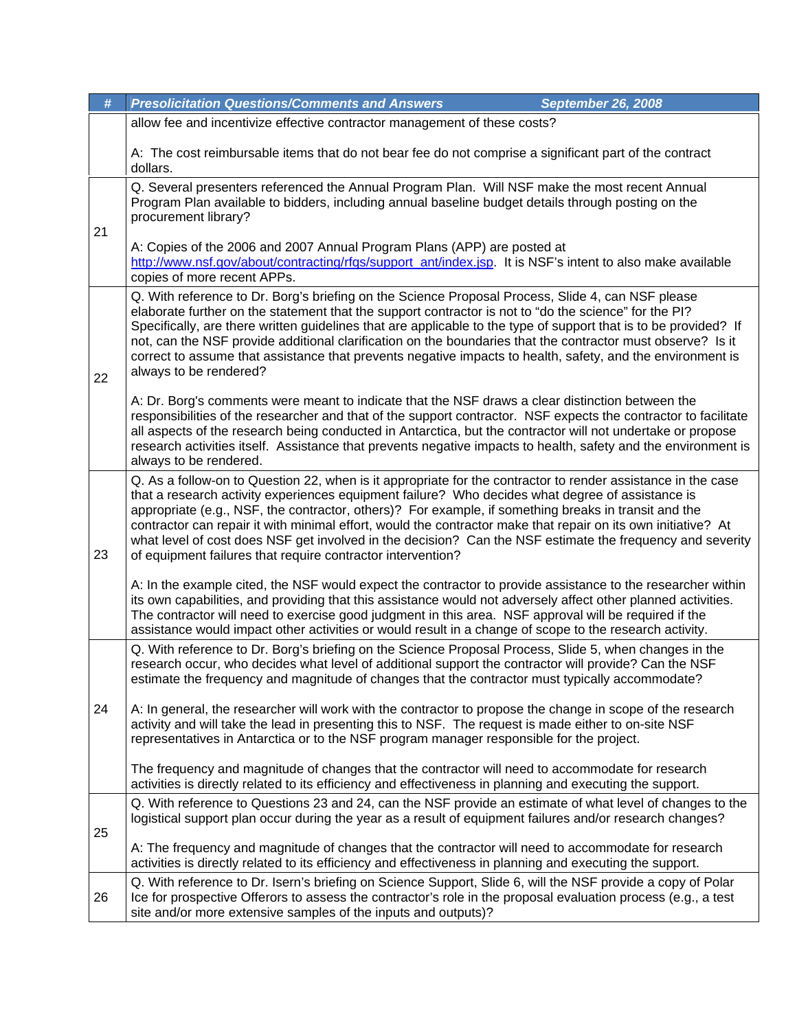| #  | <b>Presolicitation Questions/Comments and Answers</b><br>September 26, 2008                                                                                                                                                                                                                                                                                                                                                                                                                                                                                                                                           |  |
|----|-----------------------------------------------------------------------------------------------------------------------------------------------------------------------------------------------------------------------------------------------------------------------------------------------------------------------------------------------------------------------------------------------------------------------------------------------------------------------------------------------------------------------------------------------------------------------------------------------------------------------|--|
|    | allow fee and incentivize effective contractor management of these costs?                                                                                                                                                                                                                                                                                                                                                                                                                                                                                                                                             |  |
|    | A: The cost reimbursable items that do not bear fee do not comprise a significant part of the contract<br>dollars.                                                                                                                                                                                                                                                                                                                                                                                                                                                                                                    |  |
| 21 | Q. Several presenters referenced the Annual Program Plan. Will NSF make the most recent Annual<br>Program Plan available to bidders, including annual baseline budget details through posting on the<br>procurement library?                                                                                                                                                                                                                                                                                                                                                                                          |  |
|    | A: Copies of the 2006 and 2007 Annual Program Plans (APP) are posted at<br>http://www.nsf.gov/about/contracting/rfqs/support_ant/index.jsp. It is NSF's intent to also make available<br>copies of more recent APPs.                                                                                                                                                                                                                                                                                                                                                                                                  |  |
| 22 | Q. With reference to Dr. Borg's briefing on the Science Proposal Process, Slide 4, can NSF please<br>elaborate further on the statement that the support contractor is not to "do the science" for the PI?<br>Specifically, are there written guidelines that are applicable to the type of support that is to be provided? If<br>not, can the NSF provide additional clarification on the boundaries that the contractor must observe? Is it<br>correct to assume that assistance that prevents negative impacts to health, safety, and the environment is<br>always to be rendered?                                 |  |
|    | A: Dr. Borg's comments were meant to indicate that the NSF draws a clear distinction between the<br>responsibilities of the researcher and that of the support contractor. NSF expects the contractor to facilitate<br>all aspects of the research being conducted in Antarctica, but the contractor will not undertake or propose<br>research activities itself. Assistance that prevents negative impacts to health, safety and the environment is<br>always to be rendered.                                                                                                                                        |  |
| 23 | Q. As a follow-on to Question 22, when is it appropriate for the contractor to render assistance in the case<br>that a research activity experiences equipment failure? Who decides what degree of assistance is<br>appropriate (e.g., NSF, the contractor, others)? For example, if something breaks in transit and the<br>contractor can repair it with minimal effort, would the contractor make that repair on its own initiative? At<br>what level of cost does NSF get involved in the decision? Can the NSF estimate the frequency and severity<br>of equipment failures that require contractor intervention? |  |
|    | A: In the example cited, the NSF would expect the contractor to provide assistance to the researcher within<br>its own capabilities, and providing that this assistance would not adversely affect other planned activities.<br>The contractor will need to exercise good judgment in this area. NSF approval will be required if the<br>assistance would impact other activities or would result in a change of scope to the research activity.                                                                                                                                                                      |  |
| 24 | Q. With reference to Dr. Borg's briefing on the Science Proposal Process, Slide 5, when changes in the<br>research occur, who decides what level of additional support the contractor will provide? Can the NSF<br>estimate the frequency and magnitude of changes that the contractor must typically accommodate?                                                                                                                                                                                                                                                                                                    |  |
|    | A: In general, the researcher will work with the contractor to propose the change in scope of the research<br>activity and will take the lead in presenting this to NSF. The request is made either to on-site NSF<br>representatives in Antarctica or to the NSF program manager responsible for the project.                                                                                                                                                                                                                                                                                                        |  |
|    | The frequency and magnitude of changes that the contractor will need to accommodate for research<br>activities is directly related to its efficiency and effectiveness in planning and executing the support.                                                                                                                                                                                                                                                                                                                                                                                                         |  |
|    | Q. With reference to Questions 23 and 24, can the NSF provide an estimate of what level of changes to the<br>logistical support plan occur during the year as a result of equipment failures and/or research changes?                                                                                                                                                                                                                                                                                                                                                                                                 |  |
| 25 | A: The frequency and magnitude of changes that the contractor will need to accommodate for research<br>activities is directly related to its efficiency and effectiveness in planning and executing the support.                                                                                                                                                                                                                                                                                                                                                                                                      |  |
| 26 | Q. With reference to Dr. Isern's briefing on Science Support, Slide 6, will the NSF provide a copy of Polar<br>Ice for prospective Offerors to assess the contractor's role in the proposal evaluation process (e.g., a test<br>site and/or more extensive samples of the inputs and outputs)?                                                                                                                                                                                                                                                                                                                        |  |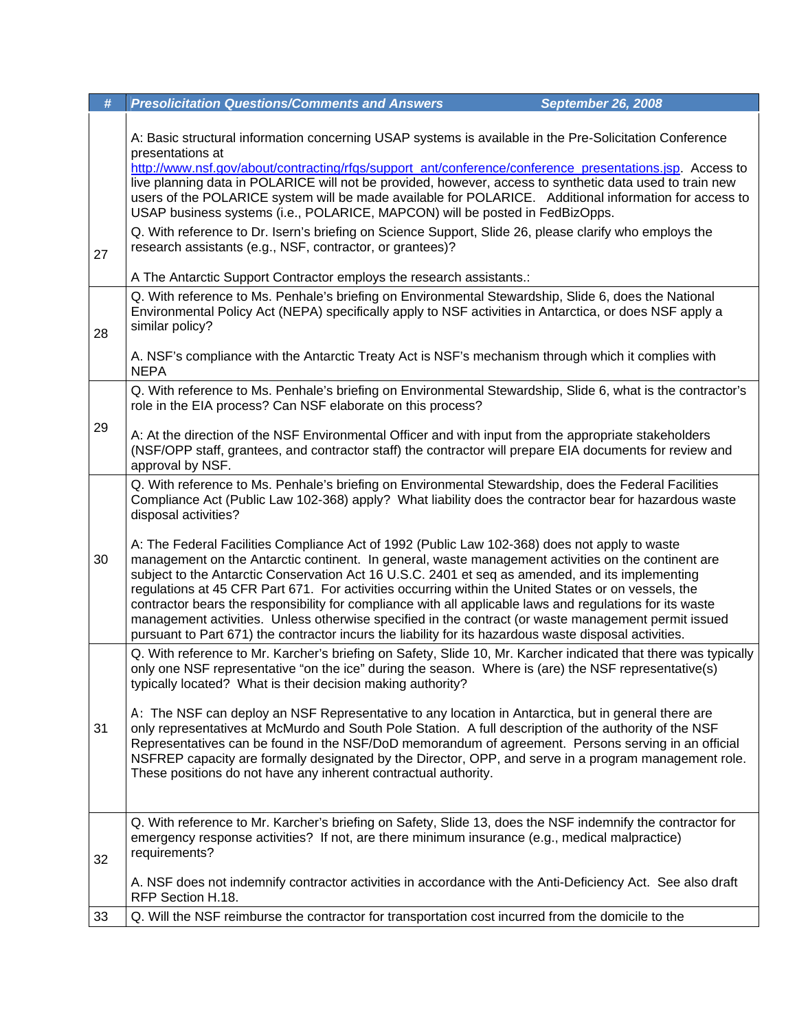| #  | <b>Presolicitation Questions/Comments and Answers</b><br><b>September 26, 2008</b>                                                                                                                                                                                                                                                                                                                                                                                                                                                            |  |
|----|-----------------------------------------------------------------------------------------------------------------------------------------------------------------------------------------------------------------------------------------------------------------------------------------------------------------------------------------------------------------------------------------------------------------------------------------------------------------------------------------------------------------------------------------------|--|
|    | A: Basic structural information concerning USAP systems is available in the Pre-Solicitation Conference<br>presentations at<br>http://www.nsf.gov/about/contracting/rfgs/support_ant/conference/conference_presentations.jsp. Access to<br>live planning data in POLARICE will not be provided, however, access to synthetic data used to train new<br>users of the POLARICE system will be made available for POLARICE. Additional information for access to<br>USAP business systems (i.e., POLARICE, MAPCON) will be posted in FedBizOpps. |  |
| 27 | Q. With reference to Dr. Isern's briefing on Science Support, Slide 26, please clarify who employs the<br>research assistants (e.g., NSF, contractor, or grantees)?                                                                                                                                                                                                                                                                                                                                                                           |  |
|    | A The Antarctic Support Contractor employs the research assistants.:                                                                                                                                                                                                                                                                                                                                                                                                                                                                          |  |
| 28 | Q. With reference to Ms. Penhale's briefing on Environmental Stewardship, Slide 6, does the National<br>Environmental Policy Act (NEPA) specifically apply to NSF activities in Antarctica, or does NSF apply a<br>similar policy?                                                                                                                                                                                                                                                                                                            |  |
|    | A. NSF's compliance with the Antarctic Treaty Act is NSF's mechanism through which it complies with<br><b>NEPA</b>                                                                                                                                                                                                                                                                                                                                                                                                                            |  |
|    | Q. With reference to Ms. Penhale's briefing on Environmental Stewardship, Slide 6, what is the contractor's<br>role in the EIA process? Can NSF elaborate on this process?                                                                                                                                                                                                                                                                                                                                                                    |  |
| 29 | A: At the direction of the NSF Environmental Officer and with input from the appropriate stakeholders<br>(NSF/OPP staff, grantees, and contractor staff) the contractor will prepare EIA documents for review and<br>approval by NSF.                                                                                                                                                                                                                                                                                                         |  |
| 30 | Q. With reference to Ms. Penhale's briefing on Environmental Stewardship, does the Federal Facilities<br>Compliance Act (Public Law 102-368) apply? What liability does the contractor bear for hazardous waste<br>disposal activities?<br>A: The Federal Facilities Compliance Act of 1992 (Public Law 102-368) does not apply to waste<br>management on the Antarctic continent. In general, waste management activities on the continent are                                                                                               |  |
|    | subject to the Antarctic Conservation Act 16 U.S.C. 2401 et seq as amended, and its implementing<br>regulations at 45 CFR Part 671. For activities occurring within the United States or on vessels, the<br>contractor bears the responsibility for compliance with all applicable laws and regulations for its waste<br>management activities. Unless otherwise specified in the contract (or waste management permit issued<br>pursuant to Part 671) the contractor incurs the liability for its hazardous waste disposal activities.       |  |
|    | Q. With reference to Mr. Karcher's briefing on Safety, Slide 10, Mr. Karcher indicated that there was typically<br>only one NSF representative "on the ice" during the season. Where is (are) the NSF representative(s)<br>typically located? What is their decision making authority?                                                                                                                                                                                                                                                        |  |
| 31 | A: The NSF can deploy an NSF Representative to any location in Antarctica, but in general there are<br>only representatives at McMurdo and South Pole Station. A full description of the authority of the NSF<br>Representatives can be found in the NSF/DoD memorandum of agreement. Persons serving in an official<br>NSFREP capacity are formally designated by the Director, OPP, and serve in a program management role.<br>These positions do not have any inherent contractual authority.                                              |  |
| 32 | Q. With reference to Mr. Karcher's briefing on Safety, Slide 13, does the NSF indemnify the contractor for<br>emergency response activities? If not, are there minimum insurance (e.g., medical malpractice)<br>requirements?                                                                                                                                                                                                                                                                                                                 |  |
|    | A. NSF does not indemnify contractor activities in accordance with the Anti-Deficiency Act. See also draft<br>RFP Section H.18.                                                                                                                                                                                                                                                                                                                                                                                                               |  |
| 33 | Q. Will the NSF reimburse the contractor for transportation cost incurred from the domicile to the                                                                                                                                                                                                                                                                                                                                                                                                                                            |  |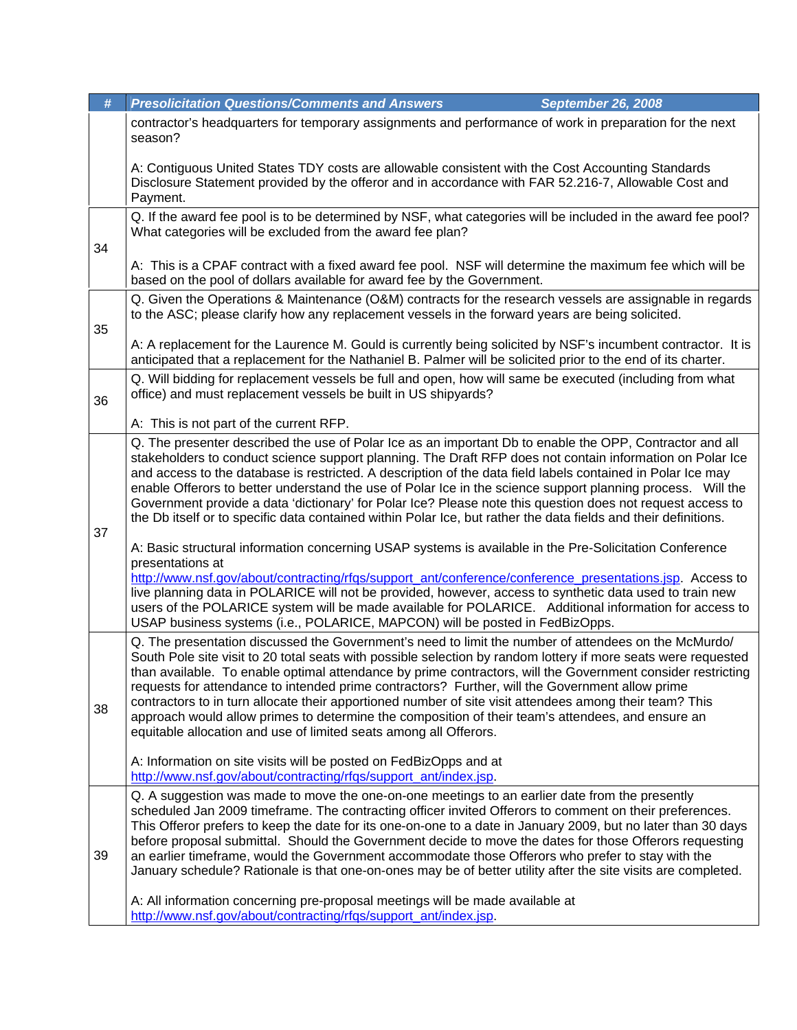| #  | <b>Presolicitation Questions/Comments and Answers</b><br><b>September 26, 2008</b>                                                                                                                                                                                                                                                                                                                                                                                                                                                                                                                                                                                                                                            |  |
|----|-------------------------------------------------------------------------------------------------------------------------------------------------------------------------------------------------------------------------------------------------------------------------------------------------------------------------------------------------------------------------------------------------------------------------------------------------------------------------------------------------------------------------------------------------------------------------------------------------------------------------------------------------------------------------------------------------------------------------------|--|
|    | contractor's headquarters for temporary assignments and performance of work in preparation for the next<br>season?                                                                                                                                                                                                                                                                                                                                                                                                                                                                                                                                                                                                            |  |
|    | A: Contiguous United States TDY costs are allowable consistent with the Cost Accounting Standards<br>Disclosure Statement provided by the offeror and in accordance with FAR 52.216-7, Allowable Cost and<br>Payment.                                                                                                                                                                                                                                                                                                                                                                                                                                                                                                         |  |
| 34 | Q. If the award fee pool is to be determined by NSF, what categories will be included in the award fee pool?<br>What categories will be excluded from the award fee plan?                                                                                                                                                                                                                                                                                                                                                                                                                                                                                                                                                     |  |
|    | A: This is a CPAF contract with a fixed award fee pool. NSF will determine the maximum fee which will be<br>based on the pool of dollars available for award fee by the Government.                                                                                                                                                                                                                                                                                                                                                                                                                                                                                                                                           |  |
| 35 | Q. Given the Operations & Maintenance (O&M) contracts for the research vessels are assignable in regards<br>to the ASC; please clarify how any replacement vessels in the forward years are being solicited.                                                                                                                                                                                                                                                                                                                                                                                                                                                                                                                  |  |
|    | A: A replacement for the Laurence M. Gould is currently being solicited by NSF's incumbent contractor. It is<br>anticipated that a replacement for the Nathaniel B. Palmer will be solicited prior to the end of its charter.                                                                                                                                                                                                                                                                                                                                                                                                                                                                                                 |  |
| 36 | Q. Will bidding for replacement vessels be full and open, how will same be executed (including from what<br>office) and must replacement vessels be built in US shipyards?                                                                                                                                                                                                                                                                                                                                                                                                                                                                                                                                                    |  |
|    | A: This is not part of the current RFP.                                                                                                                                                                                                                                                                                                                                                                                                                                                                                                                                                                                                                                                                                       |  |
|    | Q. The presenter described the use of Polar Ice as an important Db to enable the OPP, Contractor and all<br>stakeholders to conduct science support planning. The Draft RFP does not contain information on Polar Ice<br>and access to the database is restricted. A description of the data field labels contained in Polar Ice may<br>enable Offerors to better understand the use of Polar Ice in the science support planning process. Will the<br>Government provide a data 'dictionary' for Polar Ice? Please note this question does not request access to<br>the Db itself or to specific data contained within Polar Ice, but rather the data fields and their definitions.                                          |  |
| 37 | A: Basic structural information concerning USAP systems is available in the Pre-Solicitation Conference<br>presentations at<br>http://www.nsf.gov/about/contracting/rfgs/support_ant/conference/conference_presentations.jsp. Access to                                                                                                                                                                                                                                                                                                                                                                                                                                                                                       |  |
|    | live planning data in POLARICE will not be provided, however, access to synthetic data used to train new<br>users of the POLARICE system will be made available for POLARICE. Additional information for access to<br>USAP business systems (i.e., POLARICE, MAPCON) will be posted in FedBizOpps.                                                                                                                                                                                                                                                                                                                                                                                                                            |  |
| 38 | Q. The presentation discussed the Government's need to limit the number of attendees on the McMurdo/<br>South Pole site visit to 20 total seats with possible selection by random lottery if more seats were requested<br>than available. To enable optimal attendance by prime contractors, will the Government consider restricting<br>requests for attendance to intended prime contractors? Further, will the Government allow prime<br>contractors to in turn allocate their apportioned number of site visit attendees among their team? This<br>approach would allow primes to determine the composition of their team's attendees, and ensure an<br>equitable allocation and use of limited seats among all Offerors. |  |
|    | A: Information on site visits will be posted on FedBizOpps and at<br>http://www.nsf.gov/about/contracting/rfgs/support_ant/index.jsp.                                                                                                                                                                                                                                                                                                                                                                                                                                                                                                                                                                                         |  |
| 39 | Q. A suggestion was made to move the one-on-one meetings to an earlier date from the presently<br>scheduled Jan 2009 timeframe. The contracting officer invited Offerors to comment on their preferences.<br>This Offeror prefers to keep the date for its one-on-one to a date in January 2009, but no later than 30 days<br>before proposal submittal. Should the Government decide to move the dates for those Offerors requesting<br>an earlier timeframe, would the Government accommodate those Offerors who prefer to stay with the<br>January schedule? Rationale is that one-on-ones may be of better utility after the site visits are completed.                                                                   |  |
|    | A: All information concerning pre-proposal meetings will be made available at<br>http://www.nsf.gov/about/contracting/rfgs/support_ant/index.jsp.                                                                                                                                                                                                                                                                                                                                                                                                                                                                                                                                                                             |  |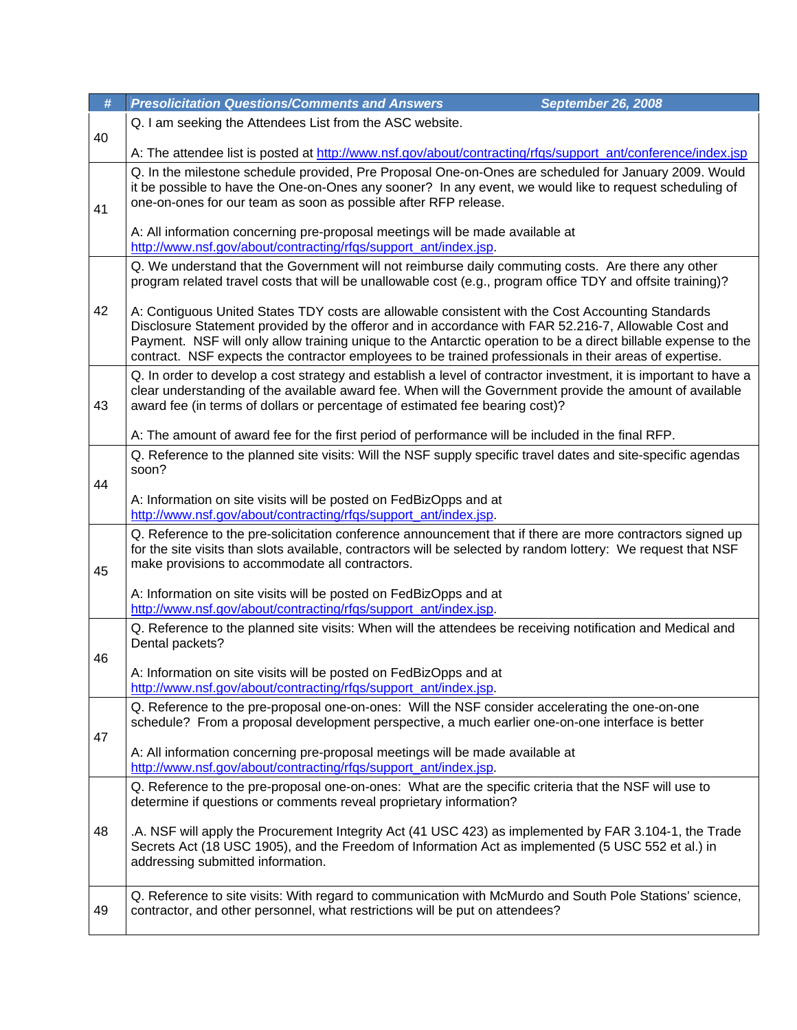| $\#$ | <b>Presolicitation Questions/Comments and Answers</b><br><b>September 26, 2008</b>                                                                                                                                                                                                                                                                                                                                                     |  |
|------|----------------------------------------------------------------------------------------------------------------------------------------------------------------------------------------------------------------------------------------------------------------------------------------------------------------------------------------------------------------------------------------------------------------------------------------|--|
| 40   | Q. I am seeking the Attendees List from the ASC website.                                                                                                                                                                                                                                                                                                                                                                               |  |
|      | A: The attendee list is posted at http://www.nsf.gov/about/contracting/rfqs/support_ant/conference/index.jsp                                                                                                                                                                                                                                                                                                                           |  |
| 41   | Q. In the milestone schedule provided, Pre Proposal One-on-Ones are scheduled for January 2009. Would<br>it be possible to have the One-on-Ones any sooner? In any event, we would like to request scheduling of<br>one-on-ones for our team as soon as possible after RFP release.                                                                                                                                                    |  |
|      | A: All information concerning pre-proposal meetings will be made available at<br>http://www.nsf.gov/about/contracting/rfqs/support_ant/index.jsp.                                                                                                                                                                                                                                                                                      |  |
|      | Q. We understand that the Government will not reimburse daily commuting costs. Are there any other<br>program related travel costs that will be unallowable cost (e.g., program office TDY and offsite training)?                                                                                                                                                                                                                      |  |
| 42   | A: Contiguous United States TDY costs are allowable consistent with the Cost Accounting Standards<br>Disclosure Statement provided by the offeror and in accordance with FAR 52.216-7, Allowable Cost and<br>Payment. NSF will only allow training unique to the Antarctic operation to be a direct billable expense to the<br>contract. NSF expects the contractor employees to be trained professionals in their areas of expertise. |  |
| 43   | Q. In order to develop a cost strategy and establish a level of contractor investment, it is important to have a<br>clear understanding of the available award fee. When will the Government provide the amount of available<br>award fee (in terms of dollars or percentage of estimated fee bearing cost)?                                                                                                                           |  |
|      | A: The amount of award fee for the first period of performance will be included in the final RFP.                                                                                                                                                                                                                                                                                                                                      |  |
| 44   | Q. Reference to the planned site visits: Will the NSF supply specific travel dates and site-specific agendas<br>soon?                                                                                                                                                                                                                                                                                                                  |  |
|      | A: Information on site visits will be posted on FedBizOpps and at<br>http://www.nsf.gov/about/contracting/rfqs/support_ant/index.jsp.                                                                                                                                                                                                                                                                                                  |  |
| 45   | Q. Reference to the pre-solicitation conference announcement that if there are more contractors signed up<br>for the site visits than slots available, contractors will be selected by random lottery: We request that NSF<br>make provisions to accommodate all contractors.                                                                                                                                                          |  |
|      | A: Information on site visits will be posted on FedBizOpps and at<br>http://www.nsf.gov/about/contracting/rfgs/support_ant/index.jsp.                                                                                                                                                                                                                                                                                                  |  |
|      | Q. Reference to the planned site visits: When will the attendees be receiving notification and Medical and<br>Dental packets?                                                                                                                                                                                                                                                                                                          |  |
| 46   | A: Information on site visits will be posted on FedBizOpps and at                                                                                                                                                                                                                                                                                                                                                                      |  |
|      | http://www.nsf.gov/about/contracting/rfgs/support_ant/index.jsp.                                                                                                                                                                                                                                                                                                                                                                       |  |
| 47   | Q. Reference to the pre-proposal one-on-ones: Will the NSF consider accelerating the one-on-one<br>schedule? From a proposal development perspective, a much earlier one-on-one interface is better                                                                                                                                                                                                                                    |  |
|      | A: All information concerning pre-proposal meetings will be made available at<br>http://www.nsf.gov/about/contracting/rfgs/support_ant/index.jsp.                                                                                                                                                                                                                                                                                      |  |
|      | Q. Reference to the pre-proposal one-on-ones: What are the specific criteria that the NSF will use to<br>determine if questions or comments reveal proprietary information?                                                                                                                                                                                                                                                            |  |
| 48   | .A. NSF will apply the Procurement Integrity Act (41 USC 423) as implemented by FAR 3.104-1, the Trade<br>Secrets Act (18 USC 1905), and the Freedom of Information Act as implemented (5 USC 552 et al.) in<br>addressing submitted information.                                                                                                                                                                                      |  |
| 49   | Q. Reference to site visits: With regard to communication with McMurdo and South Pole Stations' science,<br>contractor, and other personnel, what restrictions will be put on attendees?                                                                                                                                                                                                                                               |  |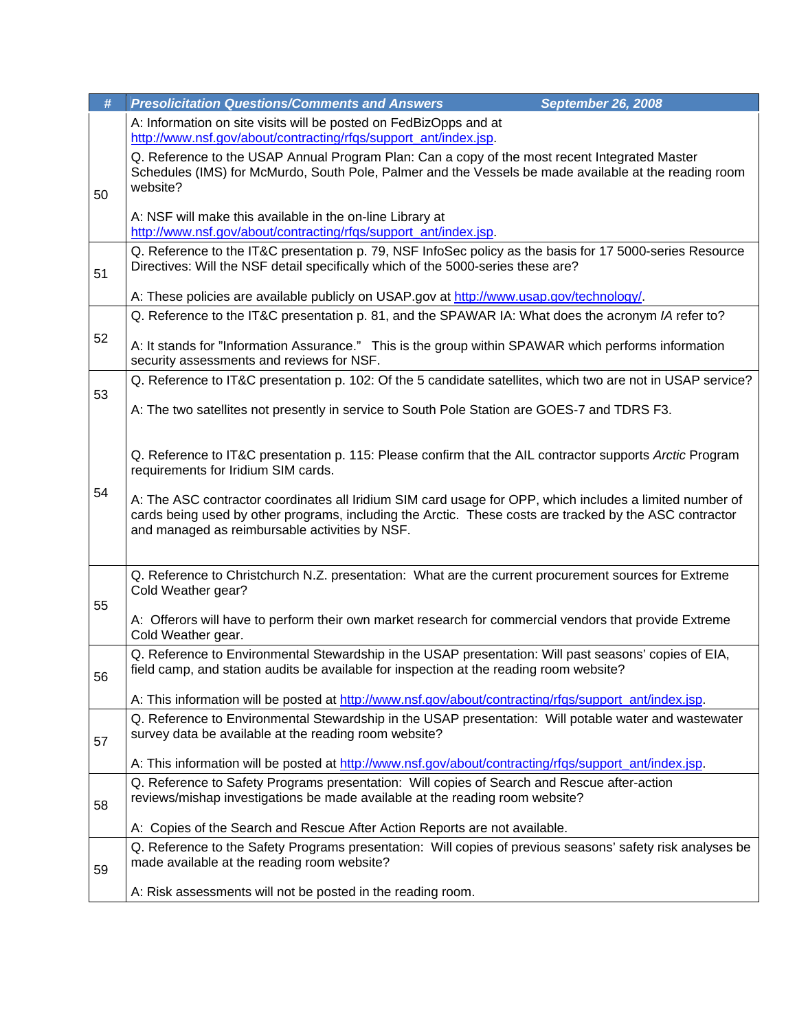| #  | <b>Presolicitation Questions/Comments and Answers</b><br><b>September 26, 2008</b>                                                                                                                                                                                                                                                                                                                                       |  |
|----|--------------------------------------------------------------------------------------------------------------------------------------------------------------------------------------------------------------------------------------------------------------------------------------------------------------------------------------------------------------------------------------------------------------------------|--|
|    | A: Information on site visits will be posted on FedBizOpps and at<br>http://www.nsf.gov/about/contracting/rfqs/support_ant/index.jsp.                                                                                                                                                                                                                                                                                    |  |
| 50 | Q. Reference to the USAP Annual Program Plan: Can a copy of the most recent Integrated Master<br>Schedules (IMS) for McMurdo, South Pole, Palmer and the Vessels be made available at the reading room<br>website?                                                                                                                                                                                                       |  |
|    | A: NSF will make this available in the on-line Library at<br>http://www.nsf.gov/about/contracting/rfqs/support_ant/index.jsp.                                                                                                                                                                                                                                                                                            |  |
| 51 | Q. Reference to the IT&C presentation p. 79, NSF InfoSec policy as the basis for 17 5000-series Resource<br>Directives: Will the NSF detail specifically which of the 5000-series these are?                                                                                                                                                                                                                             |  |
|    | A: These policies are available publicly on USAP gov at http://www.usap.gov/technology/.                                                                                                                                                                                                                                                                                                                                 |  |
|    | Q. Reference to the IT&C presentation p. 81, and the SPAWAR IA: What does the acronym IA refer to?                                                                                                                                                                                                                                                                                                                       |  |
| 52 | A: It stands for "Information Assurance." This is the group within SPAWAR which performs information<br>security assessments and reviews for NSF.                                                                                                                                                                                                                                                                        |  |
| 53 | Q. Reference to IT&C presentation p. 102: Of the 5 candidate satellites, which two are not in USAP service?                                                                                                                                                                                                                                                                                                              |  |
|    | A: The two satellites not presently in service to South Pole Station are GOES-7 and TDRS F3.                                                                                                                                                                                                                                                                                                                             |  |
| 54 | Q. Reference to IT&C presentation p. 115: Please confirm that the AIL contractor supports Arctic Program<br>requirements for Iridium SIM cards.<br>A: The ASC contractor coordinates all Iridium SIM card usage for OPP, which includes a limited number of<br>cards being used by other programs, including the Arctic. These costs are tracked by the ASC contractor<br>and managed as reimbursable activities by NSF. |  |
| 55 | Q. Reference to Christchurch N.Z. presentation: What are the current procurement sources for Extreme<br>Cold Weather gear?                                                                                                                                                                                                                                                                                               |  |
|    | A: Offerors will have to perform their own market research for commercial vendors that provide Extreme<br>Cold Weather gear.                                                                                                                                                                                                                                                                                             |  |
| 56 | Q. Reference to Environmental Stewardship in the USAP presentation: Will past seasons' copies of EIA,<br>field camp, and station audits be available for inspection at the reading room website?                                                                                                                                                                                                                         |  |
|    | A: This information will be posted at http://www.nsf.gov/about/contracting/rfgs/support_ant/index.jsp.                                                                                                                                                                                                                                                                                                                   |  |
| 57 | Q. Reference to Environmental Stewardship in the USAP presentation: Will potable water and wastewater<br>survey data be available at the reading room website?                                                                                                                                                                                                                                                           |  |
|    | A: This information will be posted at http://www.nsf.gov/about/contracting/rfgs/support_ant/index.jsp.                                                                                                                                                                                                                                                                                                                   |  |
| 58 | Q. Reference to Safety Programs presentation: Will copies of Search and Rescue after-action<br>reviews/mishap investigations be made available at the reading room website?                                                                                                                                                                                                                                              |  |
|    | A: Copies of the Search and Rescue After Action Reports are not available.                                                                                                                                                                                                                                                                                                                                               |  |
| 59 | Q. Reference to the Safety Programs presentation: Will copies of previous seasons' safety risk analyses be<br>made available at the reading room website?                                                                                                                                                                                                                                                                |  |
|    | A: Risk assessments will not be posted in the reading room.                                                                                                                                                                                                                                                                                                                                                              |  |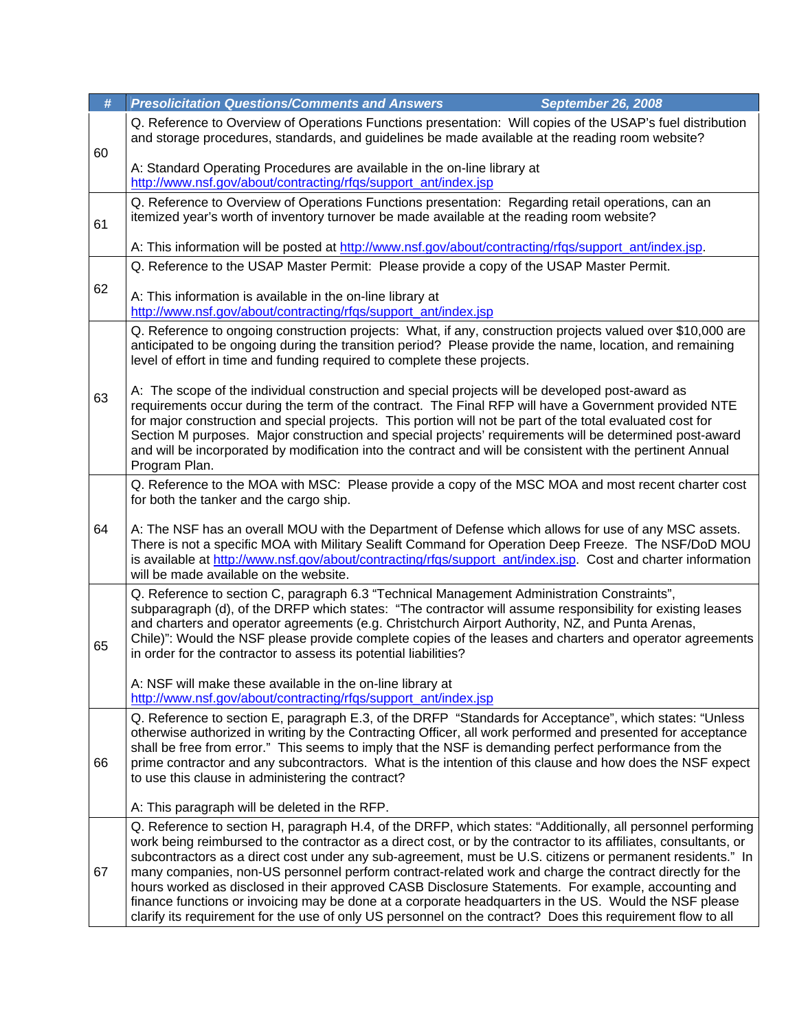| $\#$                                          | <b>Presolicitation Questions/Comments and Answers</b><br>September 26, 2008                                                                                                                                                                                                                                                                                                                                                                                                                                                                                                                                                                                                                                                                                                                |  |  |
|-----------------------------------------------|--------------------------------------------------------------------------------------------------------------------------------------------------------------------------------------------------------------------------------------------------------------------------------------------------------------------------------------------------------------------------------------------------------------------------------------------------------------------------------------------------------------------------------------------------------------------------------------------------------------------------------------------------------------------------------------------------------------------------------------------------------------------------------------------|--|--|
| 60                                            | Q. Reference to Overview of Operations Functions presentation: Will copies of the USAP's fuel distribution<br>and storage procedures, standards, and guidelines be made available at the reading room website?                                                                                                                                                                                                                                                                                                                                                                                                                                                                                                                                                                             |  |  |
|                                               | A: Standard Operating Procedures are available in the on-line library at<br>http://www.nsf.gov/about/contracting/rfqs/support_ant/index.jsp                                                                                                                                                                                                                                                                                                                                                                                                                                                                                                                                                                                                                                                |  |  |
| 61                                            | Q. Reference to Overview of Operations Functions presentation: Regarding retail operations, can an<br>itemized year's worth of inventory turnover be made available at the reading room website?                                                                                                                                                                                                                                                                                                                                                                                                                                                                                                                                                                                           |  |  |
|                                               | A: This information will be posted at http://www.nsf.gov/about/contracting/rfqs/support_ant/index.jsp.                                                                                                                                                                                                                                                                                                                                                                                                                                                                                                                                                                                                                                                                                     |  |  |
|                                               | Q. Reference to the USAP Master Permit: Please provide a copy of the USAP Master Permit.                                                                                                                                                                                                                                                                                                                                                                                                                                                                                                                                                                                                                                                                                                   |  |  |
| 62                                            | A: This information is available in the on-line library at<br>http://www.nsf.gov/about/contracting/rfqs/support_ant/index.jsp                                                                                                                                                                                                                                                                                                                                                                                                                                                                                                                                                                                                                                                              |  |  |
|                                               | Q. Reference to ongoing construction projects: What, if any, construction projects valued over \$10,000 are<br>anticipated to be ongoing during the transition period? Please provide the name, location, and remaining<br>level of effort in time and funding required to complete these projects.                                                                                                                                                                                                                                                                                                                                                                                                                                                                                        |  |  |
| 63                                            | A: The scope of the individual construction and special projects will be developed post-award as<br>requirements occur during the term of the contract. The Final RFP will have a Government provided NTE<br>for major construction and special projects. This portion will not be part of the total evaluated cost for<br>Section M purposes. Major construction and special projects' requirements will be determined post-award<br>and will be incorporated by modification into the contract and will be consistent with the pertinent Annual<br>Program Plan.                                                                                                                                                                                                                         |  |  |
|                                               | Q. Reference to the MOA with MSC: Please provide a copy of the MSC MOA and most recent charter cost<br>for both the tanker and the cargo ship.                                                                                                                                                                                                                                                                                                                                                                                                                                                                                                                                                                                                                                             |  |  |
| 64                                            | A: The NSF has an overall MOU with the Department of Defense which allows for use of any MSC assets.<br>There is not a specific MOA with Military Sealift Command for Operation Deep Freeze. The NSF/DoD MOU<br>is available at http://www.nsf.gov/about/contracting/rfgs/support_ant/index.jsp. Cost and charter information<br>will be made available on the website.                                                                                                                                                                                                                                                                                                                                                                                                                    |  |  |
| 65                                            | Q. Reference to section C, paragraph 6.3 "Technical Management Administration Constraints",<br>subparagraph (d), of the DRFP which states: "The contractor will assume responsibility for existing leases<br>and charters and operator agreements (e.g. Christchurch Airport Authority, NZ, and Punta Arenas,<br>Chile)": Would the NSF please provide complete copies of the leases and charters and operator agreements<br>in order for the contractor to assess its potential liabilities?                                                                                                                                                                                                                                                                                              |  |  |
|                                               | A: NSF will make these available in the on-line library at<br>http://www.nsf.gov/about/contracting/rfgs/support_ant/index.jsp                                                                                                                                                                                                                                                                                                                                                                                                                                                                                                                                                                                                                                                              |  |  |
| 66                                            | Q. Reference to section E, paragraph E.3, of the DRFP "Standards for Acceptance", which states: "Unless<br>otherwise authorized in writing by the Contracting Officer, all work performed and presented for acceptance<br>shall be free from error." This seems to imply that the NSF is demanding perfect performance from the<br>prime contractor and any subcontractors. What is the intention of this clause and how does the NSF expect<br>to use this clause in administering the contract?                                                                                                                                                                                                                                                                                          |  |  |
| A: This paragraph will be deleted in the RFP. |                                                                                                                                                                                                                                                                                                                                                                                                                                                                                                                                                                                                                                                                                                                                                                                            |  |  |
| 67                                            | Q. Reference to section H, paragraph H.4, of the DRFP, which states: "Additionally, all personnel performing<br>work being reimbursed to the contractor as a direct cost, or by the contractor to its affiliates, consultants, or<br>subcontractors as a direct cost under any sub-agreement, must be U.S. citizens or permanent residents." In<br>many companies, non-US personnel perform contract-related work and charge the contract directly for the<br>hours worked as disclosed in their approved CASB Disclosure Statements. For example, accounting and<br>finance functions or invoicing may be done at a corporate headquarters in the US. Would the NSF please<br>clarify its requirement for the use of only US personnel on the contract? Does this requirement flow to all |  |  |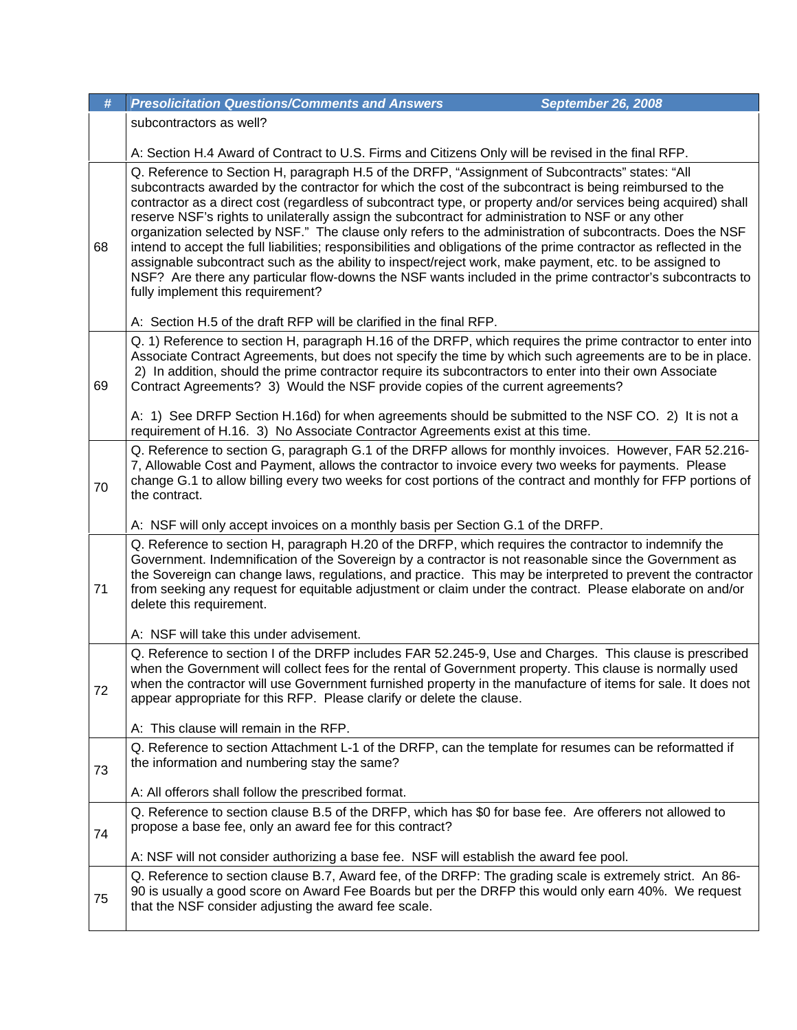| #  | <b>Presolicitation Questions/Comments and Answers</b>                                                                                                                                                                                                                                                                                                                                                                                                                                                                                                                                                                                                                                                                                                                                                                                                                                                                                                                                                      | <b>September 26, 2008</b> |
|----|------------------------------------------------------------------------------------------------------------------------------------------------------------------------------------------------------------------------------------------------------------------------------------------------------------------------------------------------------------------------------------------------------------------------------------------------------------------------------------------------------------------------------------------------------------------------------------------------------------------------------------------------------------------------------------------------------------------------------------------------------------------------------------------------------------------------------------------------------------------------------------------------------------------------------------------------------------------------------------------------------------|---------------------------|
|    | subcontractors as well?                                                                                                                                                                                                                                                                                                                                                                                                                                                                                                                                                                                                                                                                                                                                                                                                                                                                                                                                                                                    |                           |
|    | A: Section H.4 Award of Contract to U.S. Firms and Citizens Only will be revised in the final RFP.                                                                                                                                                                                                                                                                                                                                                                                                                                                                                                                                                                                                                                                                                                                                                                                                                                                                                                         |                           |
| 68 | Q. Reference to Section H, paragraph H.5 of the DRFP, "Assignment of Subcontracts" states: "All<br>subcontracts awarded by the contractor for which the cost of the subcontract is being reimbursed to the<br>contractor as a direct cost (regardless of subcontract type, or property and/or services being acquired) shall<br>reserve NSF's rights to unilaterally assign the subcontract for administration to NSF or any other<br>organization selected by NSF." The clause only refers to the administration of subcontracts. Does the NSF<br>intend to accept the full liabilities; responsibilities and obligations of the prime contractor as reflected in the<br>assignable subcontract such as the ability to inspect/reject work, make payment, etc. to be assigned to<br>NSF? Are there any particular flow-downs the NSF wants included in the prime contractor's subcontracts to<br>fully implement this requirement?<br>A: Section H.5 of the draft RFP will be clarified in the final RFP. |                           |
|    | Q. 1) Reference to section H, paragraph H.16 of the DRFP, which requires the prime contractor to enter into                                                                                                                                                                                                                                                                                                                                                                                                                                                                                                                                                                                                                                                                                                                                                                                                                                                                                                |                           |
| 69 | Associate Contract Agreements, but does not specify the time by which such agreements are to be in place.<br>2) In addition, should the prime contractor require its subcontractors to enter into their own Associate<br>Contract Agreements? 3) Would the NSF provide copies of the current agreements?                                                                                                                                                                                                                                                                                                                                                                                                                                                                                                                                                                                                                                                                                                   |                           |
|    | A: 1) See DRFP Section H.16d) for when agreements should be submitted to the NSF CO. 2) It is not a<br>requirement of H.16. 3) No Associate Contractor Agreements exist at this time.                                                                                                                                                                                                                                                                                                                                                                                                                                                                                                                                                                                                                                                                                                                                                                                                                      |                           |
| 70 | Q. Reference to section G, paragraph G.1 of the DRFP allows for monthly invoices. However, FAR 52.216-<br>7, Allowable Cost and Payment, allows the contractor to invoice every two weeks for payments. Please<br>change G.1 to allow billing every two weeks for cost portions of the contract and monthly for FFP portions of<br>the contract.                                                                                                                                                                                                                                                                                                                                                                                                                                                                                                                                                                                                                                                           |                           |
|    | A: NSF will only accept invoices on a monthly basis per Section G.1 of the DRFP.                                                                                                                                                                                                                                                                                                                                                                                                                                                                                                                                                                                                                                                                                                                                                                                                                                                                                                                           |                           |
| 71 | Q. Reference to section H, paragraph H.20 of the DRFP, which requires the contractor to indemnify the<br>Government. Indemnification of the Sovereign by a contractor is not reasonable since the Government as<br>the Sovereign can change laws, regulations, and practice. This may be interpreted to prevent the contractor<br>from seeking any request for equitable adjustment or claim under the contract. Please elaborate on and/or<br>delete this requirement.                                                                                                                                                                                                                                                                                                                                                                                                                                                                                                                                    |                           |
|    | A: NSF will take this under advisement.                                                                                                                                                                                                                                                                                                                                                                                                                                                                                                                                                                                                                                                                                                                                                                                                                                                                                                                                                                    |                           |
| 72 | Q. Reference to section I of the DRFP includes FAR 52.245-9, Use and Charges. This clause is prescribed<br>when the Government will collect fees for the rental of Government property. This clause is normally used<br>when the contractor will use Government furnished property in the manufacture of items for sale. It does not<br>appear appropriate for this RFP. Please clarify or delete the clause.                                                                                                                                                                                                                                                                                                                                                                                                                                                                                                                                                                                              |                           |
|    | A: This clause will remain in the RFP.                                                                                                                                                                                                                                                                                                                                                                                                                                                                                                                                                                                                                                                                                                                                                                                                                                                                                                                                                                     |                           |
| 73 | Q. Reference to section Attachment L-1 of the DRFP, can the template for resumes can be reformatted if<br>the information and numbering stay the same?                                                                                                                                                                                                                                                                                                                                                                                                                                                                                                                                                                                                                                                                                                                                                                                                                                                     |                           |
|    | A: All offerors shall follow the prescribed format.                                                                                                                                                                                                                                                                                                                                                                                                                                                                                                                                                                                                                                                                                                                                                                                                                                                                                                                                                        |                           |
| 74 | Q. Reference to section clause B.5 of the DRFP, which has \$0 for base fee. Are offerers not allowed to<br>propose a base fee, only an award fee for this contract?                                                                                                                                                                                                                                                                                                                                                                                                                                                                                                                                                                                                                                                                                                                                                                                                                                        |                           |
|    | A: NSF will not consider authorizing a base fee. NSF will establish the award fee pool.                                                                                                                                                                                                                                                                                                                                                                                                                                                                                                                                                                                                                                                                                                                                                                                                                                                                                                                    |                           |
| 75 | Q. Reference to section clause B.7, Award fee, of the DRFP: The grading scale is extremely strict. An 86-<br>90 is usually a good score on Award Fee Boards but per the DRFP this would only earn 40%. We request<br>that the NSF consider adjusting the award fee scale.                                                                                                                                                                                                                                                                                                                                                                                                                                                                                                                                                                                                                                                                                                                                  |                           |
|    |                                                                                                                                                                                                                                                                                                                                                                                                                                                                                                                                                                                                                                                                                                                                                                                                                                                                                                                                                                                                            |                           |